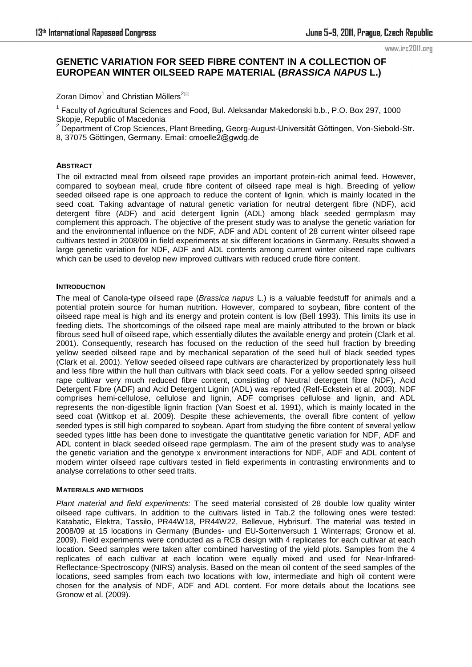# **GENETIC VARIATION FOR SEED FIBRE CONTENT IN A COLLECTION OF EUROPEAN WINTER OILSEED RAPE MATERIAL (***BRASSICA NAPUS* **L.)**

Zoran Dimov $^1$  and Christian Möllers $^{2\boxtimes}$ 

<sup>1</sup> Faculty of Agricultural Sciences and Food, Bul. Aleksandar Makedonski b.b., P.O. Box 297, 1000 Skopje, Republic of Macedonia<br><sup>2</sup> Department of Crep Sciences

 Department of Crop Sciences, Plant Breeding, Georg-August-Universität Göttingen, Von-Siebold-Str. 8, 37075 Göttingen, Germany. Email: cmoelle2@gwdg.de

## **ABSTRACT**

The oil extracted meal from oilseed rape provides an important protein-rich animal feed. However, compared to soybean meal, crude fibre content of oilseed rape meal is high. Breeding of yellow seeded oilseed rape is one approach to reduce the content of lignin, which is mainly located in the seed coat. Taking advantage of natural genetic variation for neutral detergent fibre (NDF), acid detergent fibre (ADF) and acid detergent lignin (ADL) among black seeded germplasm may complement this approach. The objective of the present study was to analyse the genetic variation for and the environmental influence on the NDF, ADF and ADL content of 28 current winter oilseed rape cultivars tested in 2008/09 in field experiments at six different locations in Germany. Results showed a large genetic variation for NDF, ADF and ADL contents among current winter oilseed rape cultivars which can be used to develop new improved cultivars with reduced crude fibre content.

# **INTRODUCTION**

The meal of Canola-type oilseed rape (*Brassica napus* L.) is a valuable feedstuff for animals and a potential protein source for human nutrition. However, compared to soybean, fibre content of the oilseed rape meal is high and its energy and protein content is low (Bell 1993). This limits its use in feeding diets. The shortcomings of the oilseed rape meal are mainly attributed to the brown or black fibrous seed hull of oilseed rape, which essentially dilutes the available energy and protein (Clark et al. 2001). Consequently, research has focused on the reduction of the seed hull fraction by breeding yellow seeded oilseed rape and by mechanical separation of the seed hull of black seeded types (Clark et al. 2001). Yellow seeded oilseed rape cultivars are characterized by proportionately less hull and less fibre within the hull than cultivars with black seed coats. For a yellow seeded spring oilseed rape cultivar very much reduced fibre content, consisting of Neutral detergent fibre (NDF), Acid Detergent Fibre (ADF) and Acid Detergent Lignin (ADL) was reported (Relf-Eckstein et al. 2003). NDF comprises hemi-cellulose, cellulose and lignin, ADF comprises cellulose and lignin, and ADL represents the non-digestible lignin fraction (Van Soest et al. 1991), which is mainly located in the seed coat (Wittkop et al. 2009). Despite these achievements, the overall fibre content of yellow seeded types is still high compared to soybean. Apart from studying the fibre content of several yellow seeded types little has been done to investigate the quantitative genetic variation for NDF, ADF and ADL content in black seeded oilseed rape germplasm. The aim of the present study was to analyse the genetic variation and the genotype x environment interactions for NDF, ADF and ADL content of modern winter oilseed rape cultivars tested in field experiments in contrasting environments and to analyse correlations to other seed traits.

## **MATERIALS AND METHODS**

*Plant material and field experiments:* The seed material consisted of 28 double low quality winter oilseed rape cultivars. In addition to the cultivars listed in Tab.2 the following ones were tested: Katabatic, Elektra, Tassilo, PR44W18, PR44W22, Bellevue, Hybrisurf. The material was tested in 2008/09 at 15 locations in Germany (Bundes- und EU-Sortenversuch 1 Winterraps; Gronow et al. 2009). Field experiments were conducted as a RCB design with 4 replicates for each cultivar at each location. Seed samples were taken after combined harvesting of the yield plots. Samples from the 4 replicates of each cultivar at each location were equally mixed and used for Near-Infrared-Reflectance-Spectroscopy (NIRS) analysis. Based on the mean oil content of the seed samples of the locations, seed samples from each two locations with low, intermediate and high oil content were chosen for the analysis of NDF, ADF and ADL content. For more details about the locations see Gronow et al. (2009).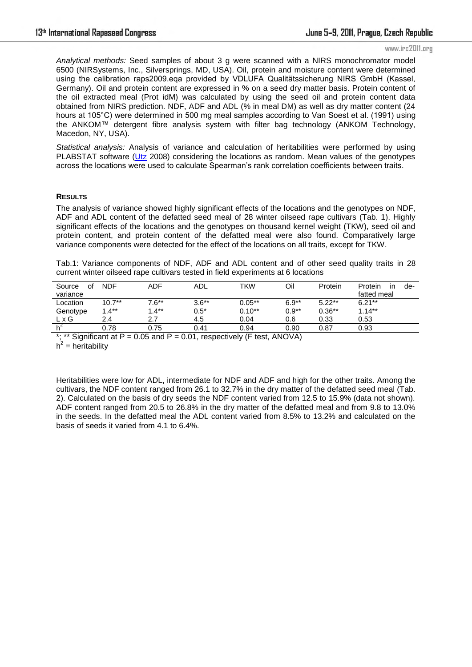*Analytical methods:* Seed samples of about 3 g were scanned with a NIRS monochromator model 6500 (NIRSystems, Inc., Silversprings, MD, USA). Oil, protein and moisture content were determined using the calibration raps2009.eqa provided by VDLUFA Qualitätssicherung NIRS GmbH (Kassel, Germany). Oil and protein content are expressed in % on a seed dry matter basis. Protein content of the oil extracted meal (Prot idM) was calculated by using the seed oil and protein content data obtained from NIRS prediction. NDF, ADF and ADL (% in meal DM) as well as dry matter content (24 hours at 105°C) were determined in 500 mg meal samples according to Van Soest et al. (1991) using the ANKOM™ detergent fibre analysis system with filter bag technology (ANKOM Technology, Macedon, NY, USA).

*Statistical analysis:* Analysis of variance and calculation of heritabilities were performed by using PLABSTAT software (Utz 2008) considering the locations as random. Mean values of the genotypes across the locations were used to calculate Spearman's rank correlation coefficients between traits.

#### **RESULTS**

The analysis of variance showed highly significant effects of the locations and the genotypes on NDF, ADF and ADL content of the defatted seed meal of 28 winter oilseed rape cultivars (Tab. 1). Highly significant effects of the locations and the genotypes on thousand kernel weight (TKW), seed oil and protein content, and protein content of the defatted meal were also found. Comparatively large variance components were detected for the effect of the locations on all traits, except for TKW.

Tab.1: Variance components of NDF, ADF and ADL content and of other seed quality traits in 28 current winter oilseed rape cultivars tested in field experiments at 6 locations

| Source<br>οf | <b>NDF</b> | ADF     | <b>ADL</b> | TKW      | Oil     | Protein  | Protein<br>de-<br>ın |
|--------------|------------|---------|------------|----------|---------|----------|----------------------|
| variance     |            |         |            |          |         |          | fatted meal          |
| Location     | $10.7**$   | $7.6**$ | $3.6**$    | $0.05**$ | $6.9**$ | $5.22**$ | $6.21**$             |
| Genotype     | $1.4**$    | $1.4**$ | $0.5*$     | $0.10**$ | $0.9**$ | $0.36**$ | $1.14***$            |
| L x G        | 2.4        | 2.7     | 4.5        | 0.04     | 0.6     | 0.33     | 0.53                 |
|              | 0.78       | 0.75    | 0.41       | 0.94     | 0.90    | 0.87     | 0.93                 |

\*; \*\* Significant at  $P = 0.05$  and  $P = 0.01$ , respectively (F test, ANOVA)

 $h^2$  = heritability

Heritabilities were low for ADL, intermediate for NDF and ADF and high for the other traits. Among the cultivars, the NDF content ranged from 26.1 to 32.7% in the dry matter of the defatted seed meal (Tab. 2). Calculated on the basis of dry seeds the NDF content varied from 12.5 to 15.9% (data not shown). ADF content ranged from 20.5 to 26.8% in the dry matter of the defatted meal and from 9.8 to 13.0% in the seeds. In the defatted meal the ADL content varied from 8.5% to 13.2% and calculated on the basis of seeds it varied from 4.1 to 6.4%.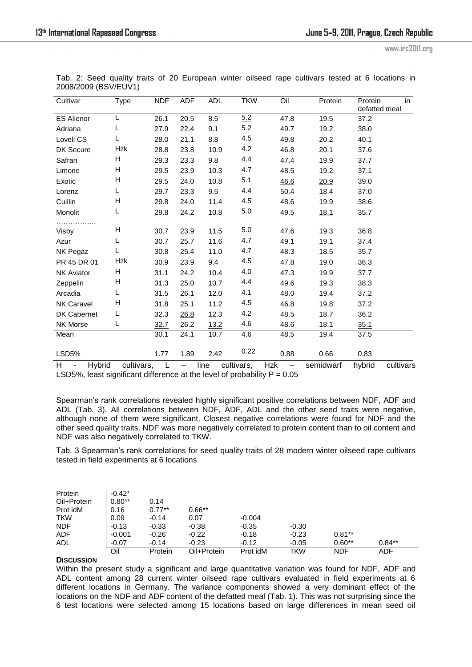| Cultivar                                       | Type                      | <b>NDF</b> | <b>ADF</b> | <b>ADL</b> | <b>TKW</b> | Oil                             | Protein     | Protein<br>defatted meal | $\overline{\mathsf{in}}$ |
|------------------------------------------------|---------------------------|------------|------------|------------|------------|---------------------------------|-------------|--------------------------|--------------------------|
| <b>ES Alienor</b>                              |                           | 26.1       | 20.5       | 8.5        | 5.2        | 47.8                            | 19.5        | 37.2                     |                          |
| Adriana                                        |                           | 27.9       | 22.4       | 9.1        | 5.2        | 49.7                            | 19.2        | 38.0                     |                          |
| Loveli <sub>CS</sub>                           | L                         | 28.0       | 21.1       | 8.8        | 4.5        | 49.8                            | 20.2        | 40.1                     |                          |
| DK Secure                                      | <b>Hzk</b>                | 28.8       | 23.8       | 10.9       | 4.2        | 46.8                            | 20.1        | 37.6                     |                          |
| Safran                                         | н                         | 29.3       | 23.3       | 9.8        | 4.4        | 47.4                            | 19.9        | 37.7                     |                          |
| Limone                                         | H                         | 29.5       | 23.9       | 10.3       | 4.7        | 48.5                            | 19.2        | 37.1                     |                          |
| Exotic                                         | н                         | 29.5       | 24.0       | 10.8       | 5.1        | 46.6                            | 20.9        | 39.0                     |                          |
| Lorenz                                         | L                         | 29.7       | 23.3       | 9.5        | 4.4        | 50.4                            | 18.4        | 37.0                     |                          |
| Cuillin                                        | н                         | 29.8       | 24.0       | 11.4       | 4.5        | 48.6                            | 19.9        | 38.6                     |                          |
| Monolit                                        | L                         | 29.8       | 24.2       | 10.8       | 5.0        | 49.5                            | <u>18.1</u> | 35.7                     |                          |
| Visby                                          | н                         | 30.7       | 23.9       | 11.5       | 5.0        | 47.6                            | 19.3        | 36.8                     |                          |
| Azur                                           | L                         | 30.7       | 25.7       | 11.6       | 4.7        | 49.1                            | 19.1        | 37.4                     |                          |
| NK Pegaz                                       |                           | 30.8       | 25.4       | 11.0       | 4.7        | 48.3                            | 18.5        | 35.7                     |                          |
| PR 45 DR 01                                    | Hzk                       | 30.9       | 23.9       | 9.4        | 4.5        | 47.8                            | 19.0        | 36.3                     |                          |
| <b>NK Aviator</b>                              | н                         | 31.1       | 24.2       | 10.4       | 4.0        | 47.3                            | 19.9        | 37.7                     |                          |
| Zeppelin                                       | н                         | 31.3       | 25.0       | 10.7       | 4.4        | 49.6                            | 19.3        | 38.3                     |                          |
| Arcadia                                        | L                         | 31.5       | 26.1       | 12.0       | 4.1        | 48.0                            | 19.4        | 37.2                     |                          |
| <b>NK Caravel</b>                              | $\boldsymbol{\mathsf{H}}$ | 31.8       | 25.1       | 11.2       | 4.5        | 46.8                            | 19.8        | 37.2                     |                          |
| DK Cabernet                                    | L                         | 32.3       | 26.8       | 12.3       | 4.2        | 48.5                            | 18.7        | 36.2                     |                          |
| NK Morse                                       | L                         | 32.7       | 26.2       | 13.2       | 4.6        | 48.6                            | 18.1        | 35.1                     |                          |
| Mean                                           |                           | 30.1       | 24.1       | 10.7       | 4.6        | 48.5                            | 19.4        | 37.5                     |                          |
| LSD5%                                          |                           | 1.77       | 1.89       | 2.42       | 0.22       | 0.88                            | 0.66        | 0.83                     |                          |
| H<br><b>Hybrid</b><br>$\overline{\phantom{a}}$ | cultivars,                | L          | $\equiv$   | line       | cultivars, | <b>Hzk</b><br>$\qquad \qquad -$ | semidwarf   | hybrid                   | cultivars                |

Tab. 2: Seed quality traits of 20 European winter oilseed rape cultivars tested at 6 locations in 2008/2009 (BSV/EUV1)

LSD5%, least significant difference at the level of probability  $P = 0.05$ 

Spearman's rank correlations revealed highly significant positive correlations between NDF, ADF and ADL (Tab. 3). All correlations between NDF, ADF, ADL and the other seed traits were negative, although none of them were significant. Closest negative correlations were found for NDF and the other seed quality traits. NDF was more negatively correlated to protein content than to oil content and NDF was also negatively correlated to TKW.

Tab. 3 Spearman's rank correlations for seed quality traits of 28 modern winter oilseed rape cultivars tested in field experiments at 6 locations

| Protein     | $-0.42*$ |          |             |          |         |            |          |
|-------------|----------|----------|-------------|----------|---------|------------|----------|
| Oil+Protein | $0.80**$ | 0.14     |             |          |         |            |          |
| Prot idM    | 0.16     | $0.77**$ | $0.66**$    |          |         |            |          |
| <b>TKW</b>  | 0.09     | $-0.14$  | 0.07        | $-0.004$ |         |            |          |
| <b>NDF</b>  | $-0.13$  | $-0.33$  | $-0.38$     | $-0.35$  | $-0.30$ |            |          |
| ADF         | $-0.001$ | $-0.26$  | $-0.22$     | $-0.18$  | $-0.23$ | $0.81**$   |          |
| <b>ADL</b>  | $-0.07$  | $-0.14$  | $-0.23$     | $-0.12$  | $-0.05$ | $0.60**$   | $0.84**$ |
|             | Oil      | Protein  | Oil+Protein | Prot idM | TKW     | <b>NDF</b> | ADF      |

## **DISCUSSION**

Within the present study a significant and large quantitative variation was found for NDF, ADF and ADL content among 28 current winter oilseed rape cultivars evaluated in field experiments at 6 different locations in Germany. The variance components showed a very dominant effect of the locations on the NDF and ADF content of the defatted meal (Tab. 1). This was not surprising since the 6 test locations were selected among 15 locations based on large differences in mean seed oil